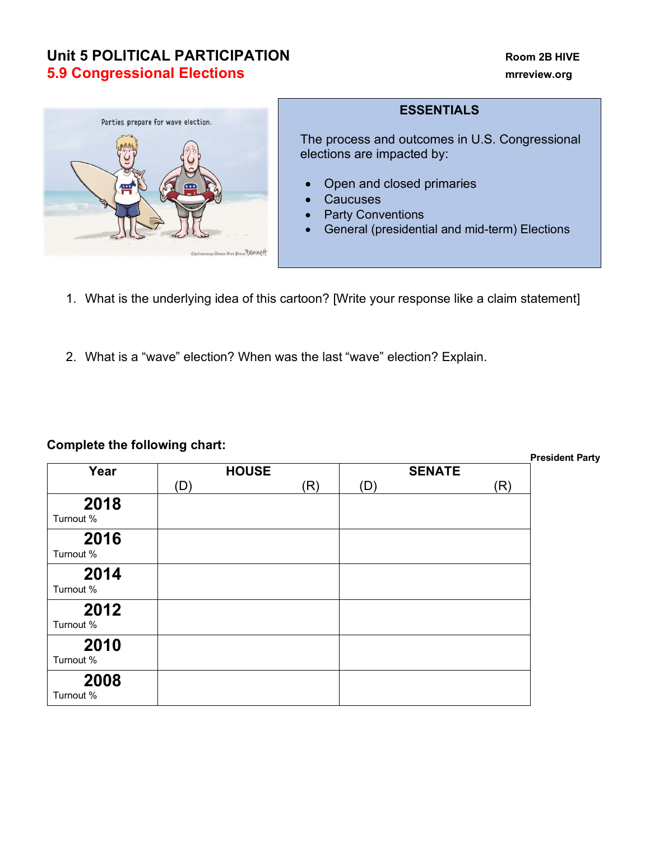## **Unit 5 POLITICAL PARTICIPATION Room 2B HIVE 5.9 Congressional Elections mrreview.org**



## **ESSENTIALS**

The process and outcomes in U.S. Congressional elections are impacted by:

- Open and closed primaries
- **Caucuses**
- Party Conventions
- General (presidential and mid-term) Elections
- 1. What is the underlying idea of this cartoon? [Write your response like a claim statement]
- 2. What is a "wave" election? When was the last "wave" election? Explain.

| Complete the following chart: |              |  |     |               |  |     | <b>President Party</b> |
|-------------------------------|--------------|--|-----|---------------|--|-----|------------------------|
| Year                          | <b>HOUSE</b> |  |     | <b>SENATE</b> |  |     |                        |
|                               | (D)          |  | (R) | (D)           |  | (R) |                        |
| 2018<br>Turnout %             |              |  |     |               |  |     |                        |
| 2016<br>Turnout %             |              |  |     |               |  |     |                        |
| 2014<br>Turnout %             |              |  |     |               |  |     |                        |
| 2012<br>Turnout %             |              |  |     |               |  |     |                        |
| 2010<br>Turnout %             |              |  |     |               |  |     |                        |
| 2008<br>Turnout %             |              |  |     |               |  |     |                        |